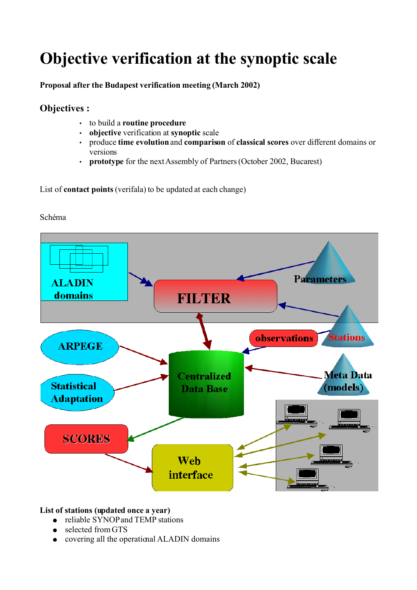# **Objective verification at the synoptic scale**

**Proposal after the Budapest verification meeting (March 2002)**

# **Objectives :**

- to build a **routine procedure**
- **objective** verification at **synoptic** scale
- produce **time evolution**and **comparison** of **classical scores** over different domains or versions
- **prototype** for the next Assembly of Partners (October 2002, Bucarest)

List of **contact points** (verifala) to be updated at each change)





### **List of stations (updated once a year)**

- reliable SYNOP and TEMP stations
- selected from GTS
- covering all the operational ALADIN domains